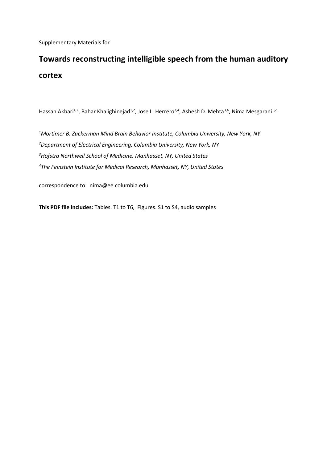Supplementary Materials for

## **Towards reconstructing intelligible speech from the human auditory cortex**

Hassan Akbari<sup>1,2</sup>, Bahar Khalighinejad<sup>1,2</sup>, Jose L. Herrero<sup>3,4</sup>, Ashesh D. Mehta<sup>3,4</sup>, Nima Mesgarani<sup>1,2</sup>

 *Mortimer B. Zuckerman Mind Brain Behavior Institute, Columbia University, New York, NY Department of Electrical Engineering, Columbia University, New York, NY Hofstra Northwell School of Medicine, Manhasset, NY, United States The Feinstein Institute for Medical Research, Manhasset, NY, United States*

correspondence to: nima@ee.columbia.edu

**This PDF file includes:** Tables. T1 to T6, Figures. S1 to S4, audio samples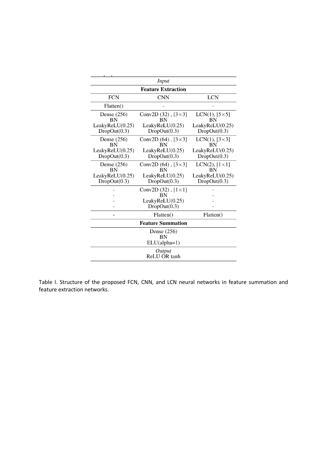| Input                           |                                             |                                   |  |
|---------------------------------|---------------------------------------------|-----------------------------------|--|
|                                 | <b>Feature Extraction</b>                   |                                   |  |
| <b>FCN</b>                      | <b>CNN</b>                                  | <b>LCN</b>                        |  |
| Flatten()                       |                                             |                                   |  |
| Dense (256)<br><b>BN</b>        | Conv2D $(32)$ , $[3\times3]$<br><b>BN</b>   | LCN(1), $[5\times5]$<br><b>BN</b> |  |
| LeakyReLU(0.25)<br>DropOut(0.3) | LeakyReLU(0.25)<br>DropOut(0.3)             | LeakyReLU(0.25)<br>DropOut(0.3)   |  |
| Dense $(256)$<br><b>BN</b>      | Conv2D $(64)$ , $[3 \times 3]$<br><b>BN</b> | LCN(1), $[3\times3]$<br>BN        |  |
| LeakyReLU(0.25)<br>DropOut(0.3) | LeakyReLU(0.25)<br>DropOut(0.3)             | LeakyReLU(0.25)<br>DropOut(0.3)   |  |
| Dense $(256)$<br><b>BN</b>      | Conv2D $(64)$ , $[3 \times 3]$<br><b>BN</b> | LCN(2), $[1 \times 1]$<br>BN      |  |
| LeakyReLU(0.25)<br>DropOut(0.3) | LeakyReLU(0.25)<br>DropOut(0.3)             | LeakyReLU(0.25)<br>DropOut(0.3)   |  |
|                                 | Conv2D $(32)$ , $[1 \times 1]$<br><b>BN</b> |                                   |  |
|                                 | LeakyReLU(0.25)<br>DropOut(0.3)             |                                   |  |
|                                 | Flatten()                                   | Flatten()                         |  |
|                                 | <b>Feature Summation</b>                    |                                   |  |
|                                 | Dense $(256)$<br><b>BN</b>                  |                                   |  |
|                                 | $ELU(alpha=1)$                              |                                   |  |
|                                 | Output<br>ReLU OR tanh                      |                                   |  |

Table I. Structure of the proposed FCN, CNN, and LCN neural networks in feature summation and feature extraction networks.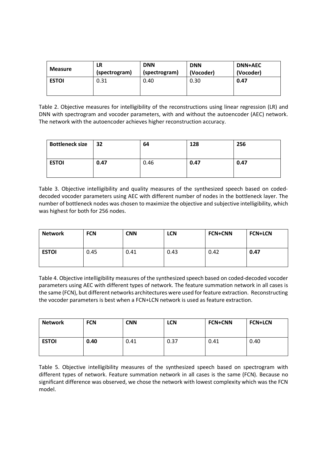| <b>Measure</b> | LR            | <b>DNN</b>    | <b>DNN</b> | <b>DNN+AEC</b> |
|----------------|---------------|---------------|------------|----------------|
|                | (spectrogram) | (spectrogram) | (Vocoder)  | (Vocoder)      |
| <b>ESTOI</b>   | 0.31          | 0.40          | 0.30       | 0.47           |

Table 2. Objective measures for intelligibility of the reconstructions using linear regression (LR) and DNN with spectrogram and vocoder parameters, with and without the autoencoder (AEC) network. The network with the autoencoder achieves higher reconstruction accuracy.

| <b>Bottleneck size</b> | $\overline{32}$ | 64   | 128  | 256  |
|------------------------|-----------------|------|------|------|
| <b>ESTOI</b>           | 0.47            | 0.46 | 0.47 | 0.47 |

Table 3. Objective intelligibility and quality measures of the synthesized speech based on codeddecoded vocoder parameters using AEC with different number of nodes in the bottleneck layer. The number of bottleneck nodes was chosen to maximize the objective and subjective intelligibility, which was highest for both for 256 nodes.

| <b>Network</b> | <b>FCN</b> | <b>CNN</b> | <b>LCN</b> | <b>FCN+CNN</b> | <b>FCN+LCN</b> |
|----------------|------------|------------|------------|----------------|----------------|
| <b>ESTOI</b>   | 0.45       | 0.41       | 0.43       | 0.42           | 0.47           |

Table 4. Objective intelligibility measures of the synthesized speech based on coded-decoded vocoder parameters using AEC with different types of network. The feature summation network in all cases is the same (FCN), but different networks architectures were used for feature extraction. Reconstructing the vocoder parameters is best when a FCN+LCN network is used as feature extraction.

| <b>Network</b> | <b>FCN</b> | <b>CNN</b> | <b>LCN</b> | <b>FCN+CNN</b> | <b>FCN+LCN</b> |
|----------------|------------|------------|------------|----------------|----------------|
| <b>ESTOI</b>   | 0.40       | 0.41       | 0.37       | 0.41           | 0.40           |

Table 5. Objective intelligibility measures of the synthesized speech based on spectrogram with different types of network. Feature summation network in all cases is the same (FCN). Because no significant difference was observed, we chose the network with lowest complexity which was the FCN model.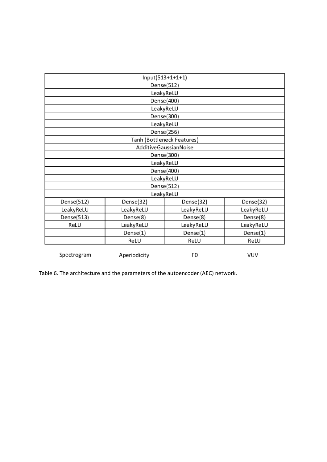|             |              | Input(513+1+1+1)           |            |
|-------------|--------------|----------------------------|------------|
|             |              | Dense(512)                 |            |
|             |              | LeakyReLU                  |            |
|             |              | Dense(400)                 |            |
|             |              | LeakyReLU                  |            |
|             |              | Dense(300)                 |            |
|             |              | LeakyReLU                  |            |
|             |              | Dense(256)                 |            |
|             |              | Tanh (Bottleneck Features) |            |
|             |              | AdditiveGaussianNoise      |            |
|             |              | Dense(300)                 |            |
|             |              | LeakyReLU                  |            |
|             |              | Dense(400)                 |            |
|             |              | LeakyReLU                  |            |
|             |              | Dense(512)                 |            |
|             |              | LeakyReLU                  |            |
| Dense(512)  | Dense(32)    | Dense(32)                  | Dense(32)  |
| LeakyReLU   | LeakyReLU    | LeakyReLU                  | LeakyReLU  |
| Dense(513)  | Dense(8)     | Dense(8)                   | Dense(8)   |
| ReLU        | LeakyReLU    | LeakyReLU                  | LeakyReLU  |
|             | Dense(1)     | Dense(1)                   | Dense(1)   |
|             | ReLU         | ReLU                       | ReLU       |
| Spectrogram | Aperiodicity | F0                         | <b>VUV</b> |

Table 6. The architecture and the parameters of the autoencoder (AEC) network.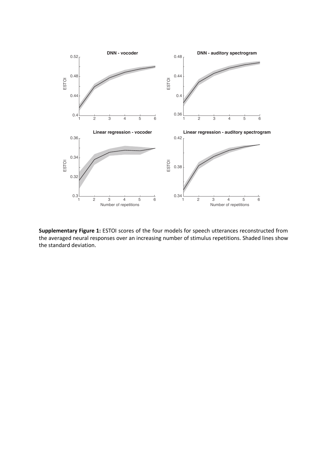

**Supplementary Figure 1:** ESTOI scores of the four models for speech utterances reconstructed from the averaged neural responses over an increasing number of stimulus repetitions. Shaded lines show the standard deviation.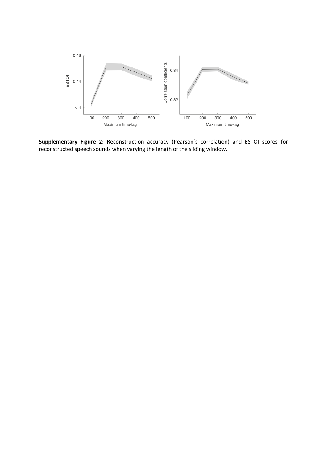

**Supplementary Figure 2:** Reconstruction accuracy (Pearson's correlation) and ESTOI scores for reconstructed speech sounds when varying the length of the sliding window.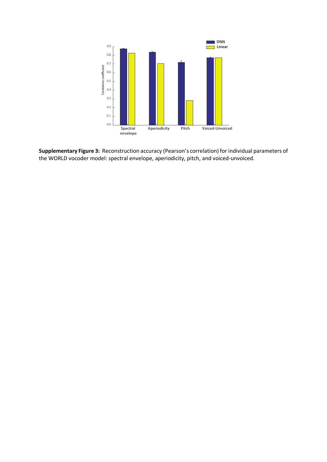

**Supplementary Figure 3:** Reconstruction accuracy (Pearson's correlation) for individual parameters of the WORLD vocoder model: spectral envelope, aperiodicity, pitch, and voiced-unvoiced.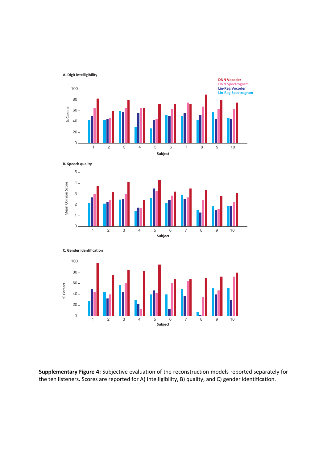



**Supplementary Figure 4:** Subjective evaluation of the reconstruction models reported separately for the ten listeners. Scores are reported for A) intelligibility, B) quality, and C) gender identification.